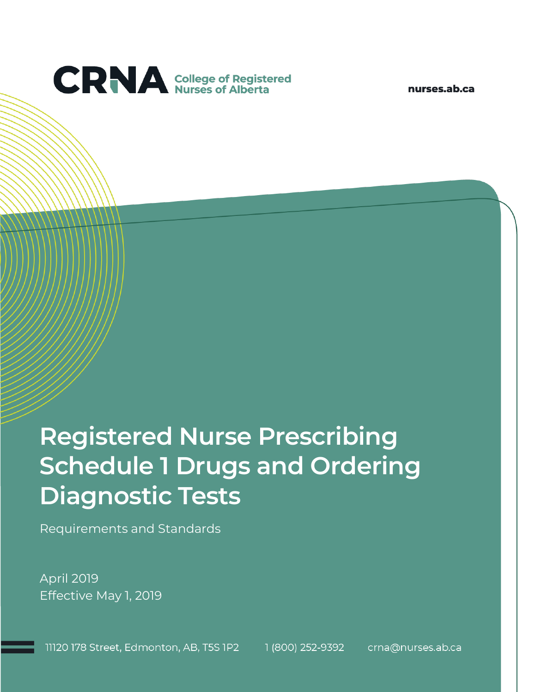

nurses.ab.ca

# **Registered Nurse Prescribing Schedule 1 Drugs and Ordering Diagnostic Tests**

Requirements and Standards

April 2019 Effective May 1, 2019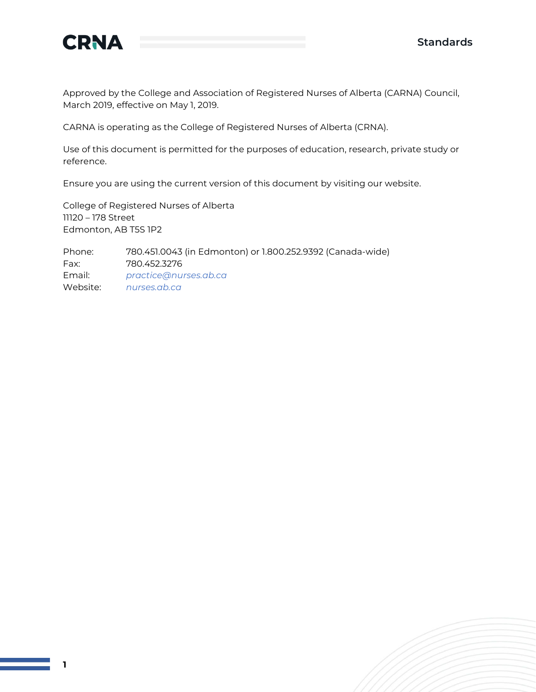

Approved by the College and Association of Registered Nurses of Alberta (CARNA) Council, March 2019, effective on May 1, 2019.

CARNA is operating as the College of Registered Nurses of Alberta (CRNA).

Use of this document is permitted for the purposes of education, research, private study or reference.

Ensure you are using the current version of this document by visiting our website.

College of Registered Nurses of Alberta 11120 – 178 Street Edmonton, AB T5S 1P2

Phone: 780.451.0043 (in Edmonton) or 1.800.252.9392 (Canada-wide) Fax: 780.452.3276 Email: *[practice@nurses.ab.ca](mailto:practice@nurses.ab.ca)* Website: *[nurses.ab.ca](http://www.nurses.ab.ca/)*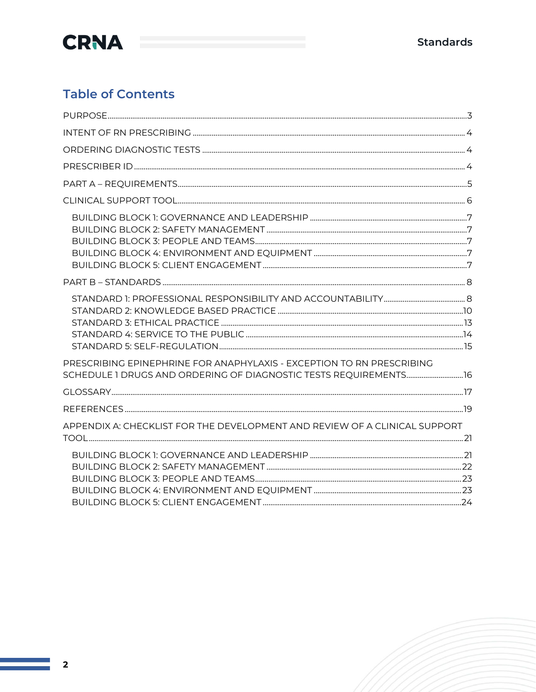

### **Table of Contents**

| PRESCRIBING EPINEPHRINE FOR ANAPHYLAXIS - EXCEPTION TO RN PRESCRIBING<br>SCHEDULE 1 DRUGS AND ORDERING OF DIAGNOSTIC TESTS REQUIREMENTS 16 |  |
|--------------------------------------------------------------------------------------------------------------------------------------------|--|
|                                                                                                                                            |  |
|                                                                                                                                            |  |
| APPENDIX A: CHECKLIST FOR THE DEVELOPMENT AND REVIEW OF A CLINICAL SUPPORT                                                                 |  |
|                                                                                                                                            |  |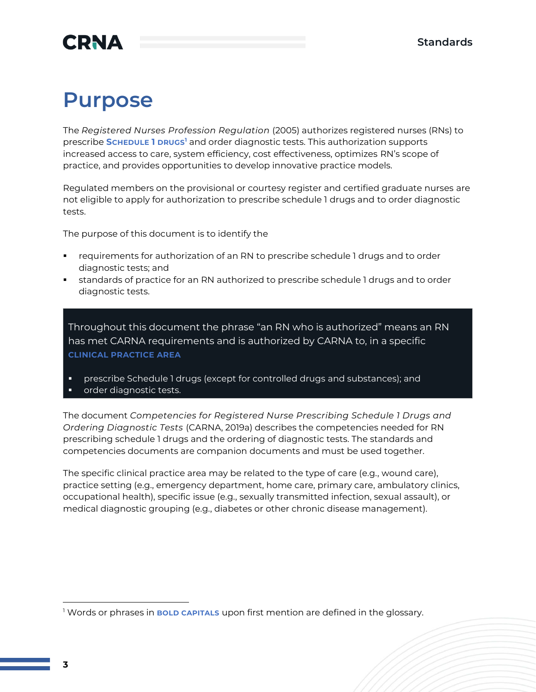## **CRNA**

## **Purpose**

The *Registered Nurses Profession Regulation* (2005) authorizes registered nurses (RNs) to prescribe **SCHEDULE 1 DRUGS<sup>1</sup>** and order diagnostic tests. This authorization supports increased access to care, system efficiency, cost effectiveness, optimizes RN's scope of practice, and provides opportunities to develop innovative practice models.

Regulated members on the provisional or courtesy register and certified graduate nurses are not eligible to apply for authorization to prescribe schedule 1 drugs and to order diagnostic tests.

The purpose of this document is to identify the

- **•** requirements for authorization of an RN to prescribe schedule 1 drugs and to order diagnostic tests; and
- **•** standards of practice for an RN authorized to prescribe schedule 1 drugs and to order diagnostic tests.

Throughout this document the phrase "an RN who is authorized" means an RN has met CARNA requirements and is authorized by CARNA to, in a specific **CLINICAL PRACTICE AREA**

- prescribe Schedule 1 drugs (except for controlled drugs and substances); and
- order diagnostic tests.

The document *Competencies for Registered Nurse Prescribing Schedule 1 Drugs and Ordering Diagnostic Tests* (CARNA, 2019a) describes the competencies needed for RN prescribing schedule 1 drugs and the ordering of diagnostic tests. The standards and competencies documents are companion documents and must be used together.

The specific clinical practice area may be related to the type of care (e.g., wound care), practice setting (e.g., emergency department, home care, primary care, ambulatory clinics, occupational health), specific issue (e.g., sexually transmitted infection, sexual assault), or medical diagnostic grouping (e.g., diabetes or other chronic disease management).

<sup>1</sup> Words or phrases in **BOLD CAPITALS** upon first mention are defined in the glossary.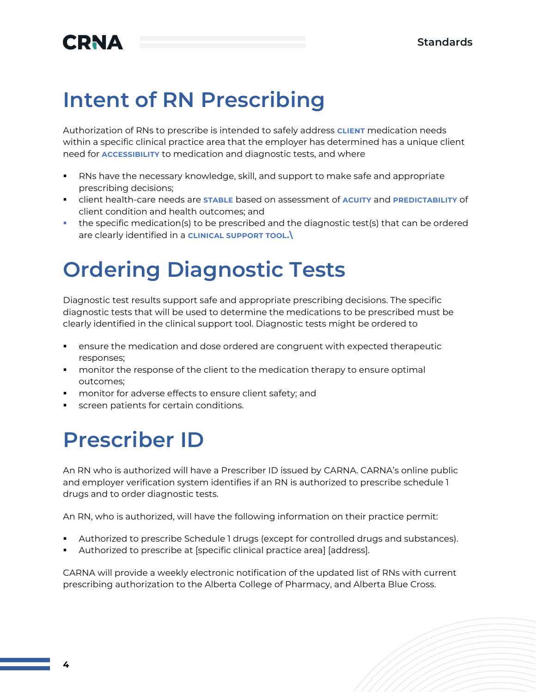## **CRNA**

## **Intent of RN Prescribing**

Authorization of RNs to prescribe is intended to safely address **CLIENT** medication needs within a specific clinical practice area that the employer has determined has a unique client need for **ACCESSIBILITY** to medication and diagnostic tests, and where

- RNs have the necessary knowledge, skill, and support to make safe and appropriate prescribing decisions;
- client health-care needs are **STABLE** based on assessment of **ACUITY** and **PREDICTABILITY** of client condition and health outcomes; and
- the specific medication(s) to be prescribed and the diagnostic test(s) that can be ordered are clearly identified in a **CLINICAL SUPPORT TOOL.\**

## **Ordering Diagnostic Tests**

Diagnostic test results support safe and appropriate prescribing decisions. The specific diagnostic tests that will be used to determine the medications to be prescribed must be clearly identified in the clinical support tool. Diagnostic tests might be ordered to

- ensure the medication and dose ordered are congruent with expected therapeutic responses;
- **•** monitor the response of the client to the medication therapy to ensure optimal outcomes;
- monitor for adverse effects to ensure client safety; and
- screen patients for certain conditions.

## **Prescriber ID**

An RN who is authorized will have a Prescriber ID issued by CARNA. CARNA's online public and employer verification system identifies if an RN is authorized to prescribe schedule 1 drugs and to order diagnostic tests.

An RN, who is authorized, will have the following information on their practice permit:

- Authorized to prescribe Schedule 1 drugs (except for controlled drugs and substances).
- Authorized to prescribe at [specific clinical practice area] [address].

CARNA will provide a weekly electronic notification of the updated list of RNs with current prescribing authorization to the Alberta College of Pharmacy, and Alberta Blue Cross.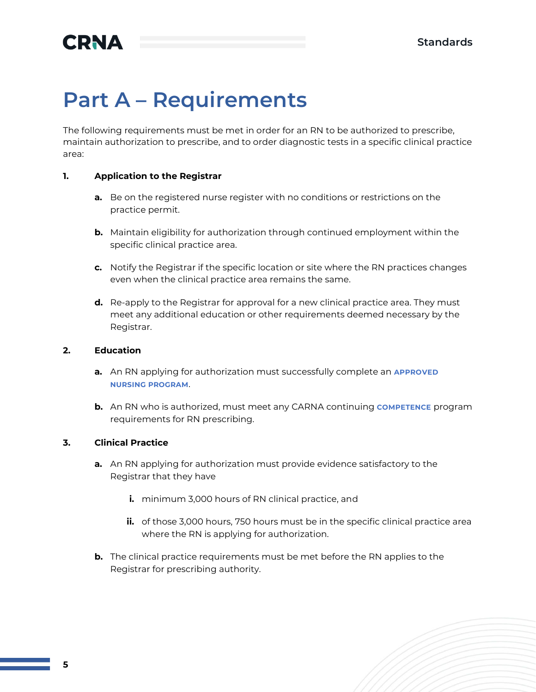## **Part A – Requirements**

The following requirements must be met in order for an RN to be authorized to prescribe, maintain authorization to prescribe, and to order diagnostic tests in a specific clinical practice area:

#### **1. Application to the Registrar**

- **a.** Be on the registered nurse register with no conditions or restrictions on the practice permit.
- **b.** Maintain eligibility for authorization through continued employment within the specific clinical practice area.
- **c.** Notify the Registrar if the specific location or site where the RN practices changes even when the clinical practice area remains the same.
- **d.** Re-apply to the Registrar for approval for a new clinical practice area. They must meet any additional education or other requirements deemed necessary by the Registrar.

#### **2. Education**

- **a.** An RN applying for authorization must successfully complete an **APPROVED NURSING PROGRAM**.
- **b.** An RN who is authorized, must meet any CARNA continuing **COMPETENCE** program requirements for RN prescribing.

#### **3. Clinical Practice**

- **a.** An RN applying for authorization must provide evidence satisfactory to the Registrar that they have
	- **i.** minimum 3,000 hours of RN clinical practice, and
	- **ii.** of those 3,000 hours, 750 hours must be in the specific clinical practice area where the RN is applying for authorization.
- **b.** The clinical practice requirements must be met before the RN applies to the Registrar for prescribing authority.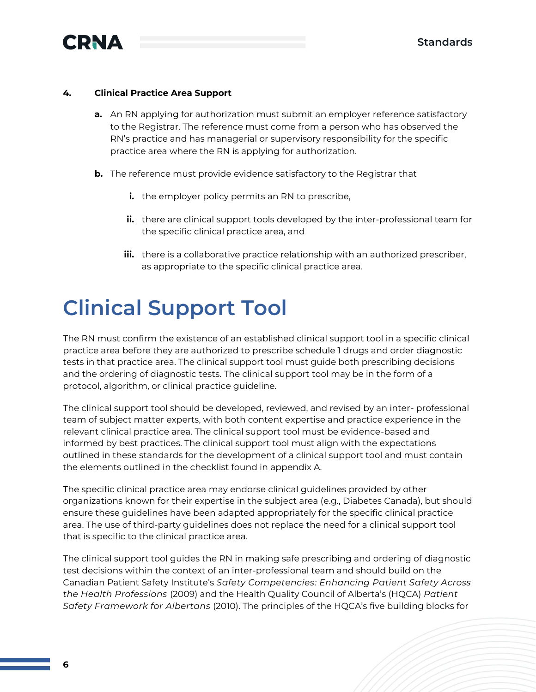

#### **4. Clinical Practice Area Support**

- **a.** An RN applying for authorization must submit an employer reference satisfactory to the Registrar. The reference must come from a person who has observed the RN's practice and has managerial or supervisory responsibility for the specific practice area where the RN is applying for authorization.
- **b.** The reference must provide evidence satisfactory to the Registrar that
	- **i.** the employer policy permits an RN to prescribe,
	- **ii.** there are clinical support tools developed by the inter-professional team for the specific clinical practice area, and
	- **iii.** there is a collaborative practice relationship with an authorized prescriber, as appropriate to the specific clinical practice area.

## **Clinical Support Tool**

The RN must confirm the existence of an established clinical support tool in a specific clinical practice area before they are authorized to prescribe schedule 1 drugs and order diagnostic tests in that practice area. The clinical support tool must guide both prescribing decisions and the ordering of diagnostic tests. The clinical support tool may be in the form of a protocol, algorithm, or clinical practice guideline.

The clinical support tool should be developed, reviewed, and revised by an inter- professional team of subject matter experts, with both content expertise and practice experience in the relevant clinical practice area. The clinical support tool must be evidence-based and informed by best practices. The clinical support tool must align with the expectations outlined in these standards for the development of a clinical support tool and must contain the elements outlined in the checklist found in appendix A.

The specific clinical practice area may endorse clinical guidelines provided by other organizations known for their expertise in the subject area (e.g., Diabetes Canada), but should ensure these guidelines have been adapted appropriately for the specific clinical practice area. The use of third-party guidelines does not replace the need for a clinical support tool that is specific to the clinical practice area.

The clinical support tool guides the RN in making safe prescribing and ordering of diagnostic test decisions within the context of an inter-professional team and should build on the Canadian Patient Safety Institute's *[Safety Competencies:](http://www.patientsafetyinstitute.ca/en/toolsResources/safetyCompetencies/Documents/Safety%20Competencies.pdf) Enhancing Patient Safety Across the Health Professions* (2009) and the Health Quality Council of Alberta's (HQCA) *Patient Safety Framework for Albertans* (2010). The principles of the HQCA's five building blocks for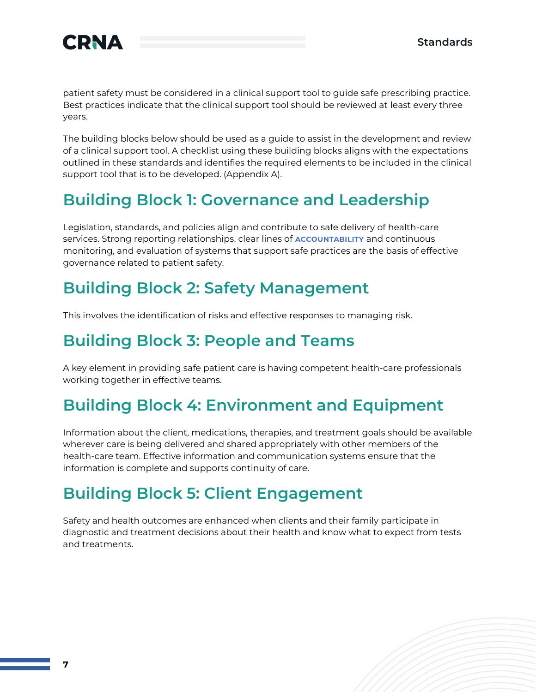

patient safety must be considered in a clinical support tool to guide safe prescribing practice. Best practices indicate that the clinical support tool should be reviewed at least every three years.

The building blocks below should be used as a guide to assist in the development and review of a clinical support tool. A checklist using these building blocks aligns with the expectations outlined in these standards and identifies the required elements to be included in the clinical support tool that is to be developed. (Appendix A).

### **Building Block 1: Governance and Leadership**

Legislation, standards, and policies align and contribute to safe delivery of health-care services. Strong reporting relationships, clear lines of **ACCOUNTABILITY** and continuous monitoring, and evaluation of systems that support safe practices are the basis of effective governance related to patient safety.

### **Building Block 2: Safety Management**

This involves the identification of risks and effective responses to managing risk.

### **Building Block 3: People and Teams**

A key element in providing safe patient care is having competent health-care professionals working together in effective teams.

### **Building Block 4: Environment and Equipment**

Information about the client, medications, therapies, and treatment goals should be available wherever care is being delivered and shared appropriately with other members of the health-care team. Effective information and communication systems ensure that the information is complete and supports continuity of care.

### **Building Block 5: Client Engagement**

Safety and health outcomes are enhanced when clients and their family participate in diagnostic and treatment decisions about their health and know what to expect from tests and treatments.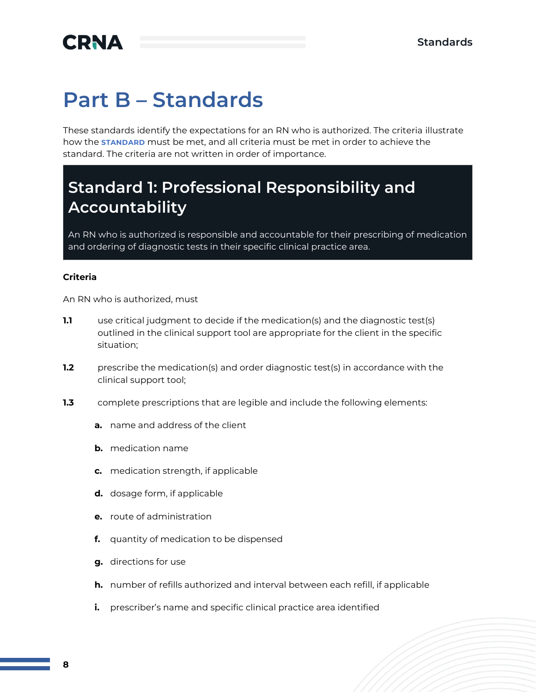## **Part B – Standards**

These standards identify the expectations for an RN who is authorized. The criteria illustrate how the **STANDARD** must be met, and all criteria must be met in order to achieve the standard. The criteria are not written in order of importance.

### **Standard 1: Professional Responsibility and Accountability**

An RN who is authorized is responsible and accountable for their prescribing of medication and ordering of diagnostic tests in their specific clinical practice area.

#### **Criteria**

- **1.1** use critical judgment to decide if the medication(s) and the diagnostic test(s) outlined in the clinical support tool are appropriate for the client in the specific situation;
- **1.2** prescribe the medication(s) and order diagnostic test(s) in accordance with the clinical support tool;
- **1.3** complete prescriptions that are legible and include the following elements:
	- **a.** name and address of the client
	- **b.** medication name
	- **c.** medication strength, if applicable
	- **d.** dosage form, if applicable
	- **e.** route of administration
	- **f.** quantity of medication to be dispensed
	- **g.** directions for use
	- **h.** number of refills authorized and interval between each refill, if applicable
	- **i.** prescriber's name and specific clinical practice area identified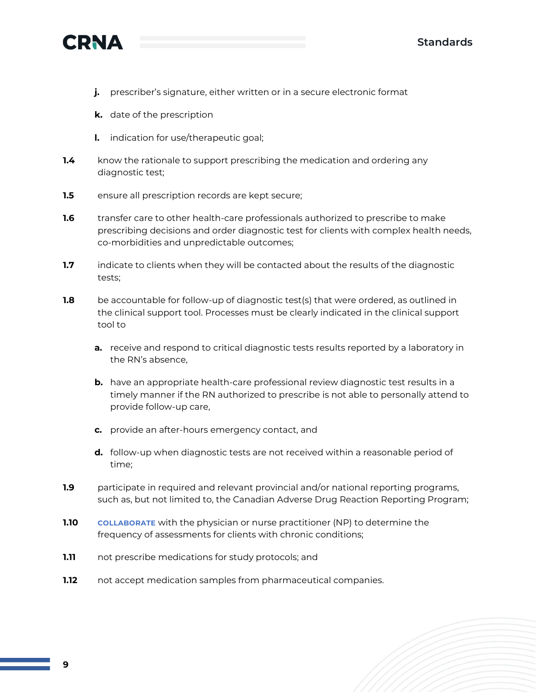

- **j.** prescriber's signature, either written or in a secure electronic format
- **k.** date of the prescription
- **l.** indication for use/therapeutic goal;
- **1.4** know the rationale to support prescribing the medication and ordering any diagnostic test;
- **1.5** ensure all prescription records are kept secure;
- **1.6** transfer care to other health-care professionals authorized to prescribe to make prescribing decisions and order diagnostic test for clients with complex health needs, co-morbidities and unpredictable outcomes;
- **1.7** indicate to clients when they will be contacted about the results of the diagnostic tests;
- **1.8** be accountable for follow-up of diagnostic test(s) that were ordered, as outlined in the clinical support tool. Processes must be clearly indicated in the clinical support tool to
	- **a.** receive and respond to critical diagnostic tests results reported by a laboratory in the RN's absence,
	- **b.** have an appropriate health-care professional review diagnostic test results in a timely manner if the RN authorized to prescribe is not able to personally attend to provide follow-up care,
	- **c.** provide an after-hours emergency contact, and
	- **d.** follow-up when diagnostic tests are not received within a reasonable period of time;
- **1.9** participate in required and relevant provincial and/or national reporting programs, such as, but not limited to, the Canadian Adverse Drug Reaction Reporting Program;
- **1.10 COLLABORATE** with the physician or nurse practitioner (NP) to determine the frequency of assessments for clients with chronic conditions;
- **1.11** not prescribe medications for study protocols; and
- **1.12** not accept medication samples from pharmaceutical companies.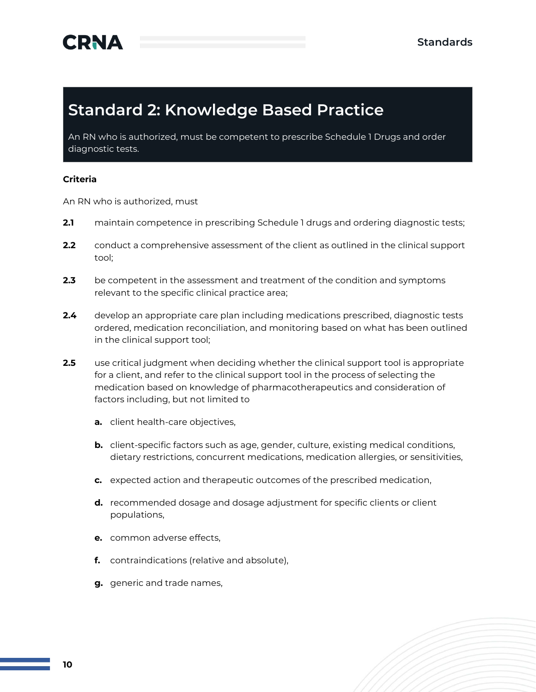### **Standard 2: Knowledge Based Practice**

An RN who is authorized, must be competent to prescribe Schedule 1 Drugs and order diagnostic tests.

#### **Criteria**

- **2.1** maintain competence in prescribing Schedule 1 drugs and ordering diagnostic tests;
- **2.2** conduct a comprehensive assessment of the client as outlined in the clinical support tool;
- **2.3** be competent in the assessment and treatment of the condition and symptoms relevant to the specific clinical practice area;
- **2.4** develop an appropriate care plan including medications prescribed, diagnostic tests ordered, medication reconciliation, and monitoring based on what has been outlined in the clinical support tool;
- **2.5** use critical judgment when deciding whether the clinical support tool is appropriate for a client, and refer to the clinical support tool in the process of selecting the medication based on knowledge of pharmacotherapeutics and consideration of factors including, but not limited to
	- **a.** client health-care objectives,
	- **b.** client-specific factors such as age, gender, culture, existing medical conditions, dietary restrictions, concurrent medications, medication allergies, or sensitivities,
	- **c.** expected action and therapeutic outcomes of the prescribed medication,
	- **d.** recommended dosage and dosage adjustment for specific clients or client populations,
	- **e.** common adverse effects,
	- **f.** contraindications (relative and absolute),
	- **g.** generic and trade names,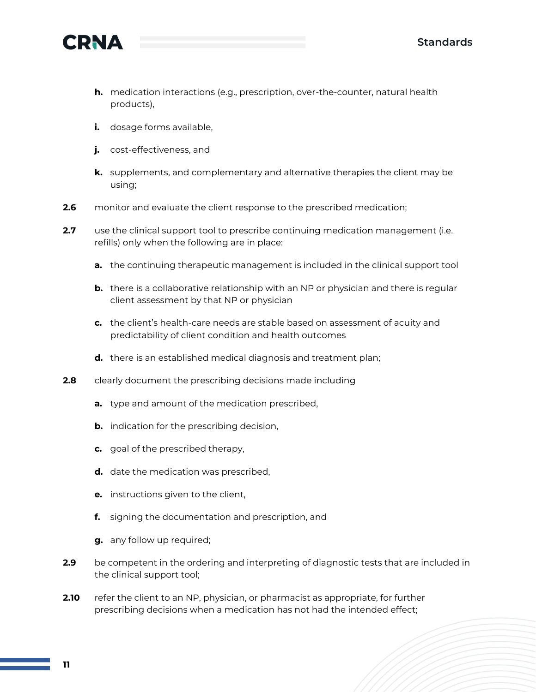

- **h.** medication interactions (e.g., prescription, over-the-counter, natural health products),
- **i.** dosage forms available,
- **j.** cost-effectiveness, and
- **k.** supplements, and complementary and alternative therapies the client may be using;
- **2.6** monitor and evaluate the client response to the prescribed medication;
- **2.7** use the clinical support tool to prescribe continuing medication management (i.e. refills) only when the following are in place:
	- **a.** the continuing therapeutic management is included in the clinical support tool
	- **b.** there is a collaborative relationship with an NP or physician and there is regular client assessment by that NP or physician
	- **c.** the client's health-care needs are stable based on assessment of acuity and predictability of client condition and health outcomes
	- **d.** there is an established medical diagnosis and treatment plan;
- **2.8** clearly document the prescribing decisions made including
	- **a.** type and amount of the medication prescribed,
	- **b.** indication for the prescribing decision,
	- **c.** goal of the prescribed therapy,
	- **d.** date the medication was prescribed,
	- **e.** instructions given to the client,
	- **f.** signing the documentation and prescription, and
	- **g.** any follow up required;
- **2.9** be competent in the ordering and interpreting of diagnostic tests that are included in the clinical support tool;
- **2.10** refer the client to an NP, physician, or pharmacist as appropriate, for further prescribing decisions when a medication has not had the intended effect;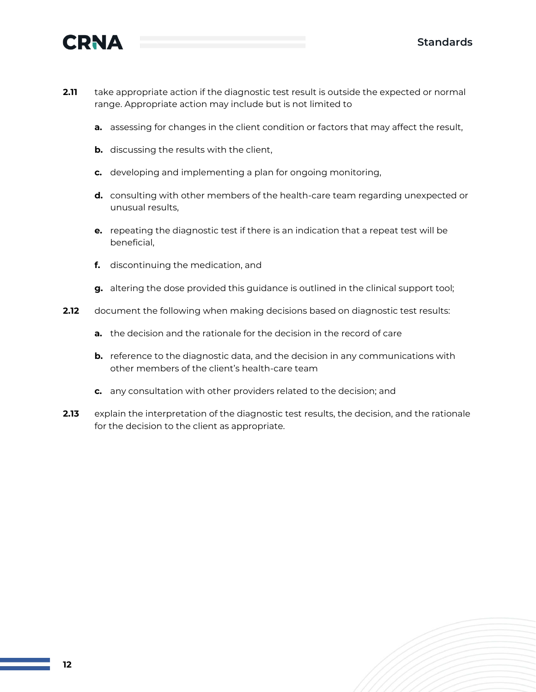

- **2.11** take appropriate action if the diagnostic test result is outside the expected or normal range. Appropriate action may include but is not limited to
	- **a.** assessing for changes in the client condition or factors that may affect the result,
	- **b.** discussing the results with the client,
	- **c.** developing and implementing a plan for ongoing monitoring,
	- **d.** consulting with other members of the health-care team regarding unexpected or unusual results,
	- **e.** repeating the diagnostic test if there is an indication that a repeat test will be beneficial,
	- **f.** discontinuing the medication, and
	- **g.** altering the dose provided this guidance is outlined in the clinical support tool;
- **2.12** document the following when making decisions based on diagnostic test results:
	- **a.** the decision and the rationale for the decision in the record of care
	- **b.** reference to the diagnostic data, and the decision in any communications with other members of the client's health-care team
	- **c.** any consultation with other providers related to the decision; and
- **2.13** explain the interpretation of the diagnostic test results, the decision, and the rationale for the decision to the client as appropriate.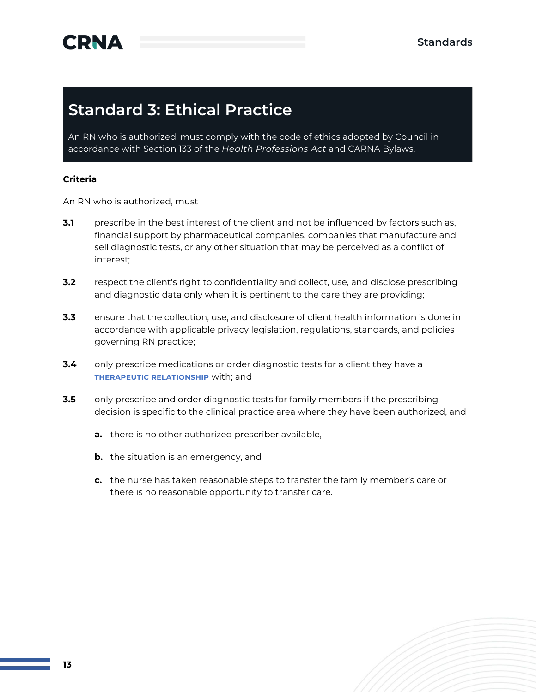## **Standard 3: Ethical Practice**

An RN who is authorized, must comply with the code of ethics adopted by Council in accordance with Section 133 of the *Health Professions Act* and CARNA Bylaws.

#### **Criteria**

- **3.1** prescribe in the best interest of the client and not be influenced by factors such as, financial support by pharmaceutical companies, companies that manufacture and sell diagnostic tests, or any other situation that may be perceived as a conflict of interest;
- **3.2** respect the client's right to confidentiality and collect, use, and disclose prescribing and diagnostic data only when it is pertinent to the care they are providing;
- **3.3** ensure that the collection, use, and disclosure of client health information is done in accordance with applicable privacy legislation, regulations, standards, and policies governing RN practice;
- **3.4** only prescribe medications or order diagnostic tests for a client they have a **THERAPEUTIC RELATIONSHIP** with; and
- **3.5** only prescribe and order diagnostic tests for family members if the prescribing decision is specific to the clinical practice area where they have been authorized, and
	- **a.** there is no other authorized prescriber available,
	- **b.** the situation is an emergency, and
	- **c.** the nurse has taken reasonable steps to transfer the family member's care or there is no reasonable opportunity to transfer care.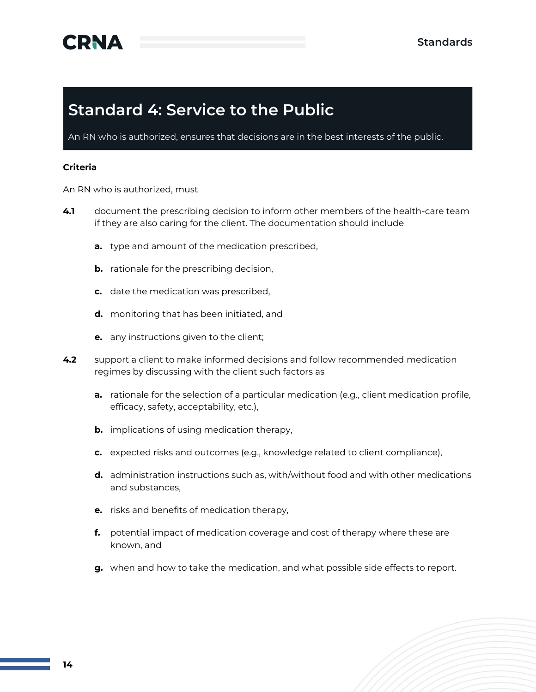### **Standard 4: Service to the Public**

An RN who is authorized, ensures that decisions are in the best interests of the public.

#### **Criteria**

- **4.1** document the prescribing decision to inform other members of the health-care team if they are also caring for the client. The documentation should include
	- **a.** type and amount of the medication prescribed,
	- **b.** rationale for the prescribing decision,
	- **c.** date the medication was prescribed,
	- **d.** monitoring that has been initiated, and
	- **e.** any instructions given to the client;
- **4.2** support a client to make informed decisions and follow recommended medication regimes by discussing with the client such factors as
	- **a.** rationale for the selection of a particular medication (e.g., client medication profile, efficacy, safety, acceptability, etc.),
	- **b.** implications of using medication therapy,
	- **c.** expected risks and outcomes (e.g., knowledge related to client compliance),
	- **d.** administration instructions such as, with/without food and with other medications and substances,
	- **e.** risks and benefits of medication therapy,
	- **f.** potential impact of medication coverage and cost of therapy where these are known, and
	- **g.** when and how to take the medication, and what possible side effects to report.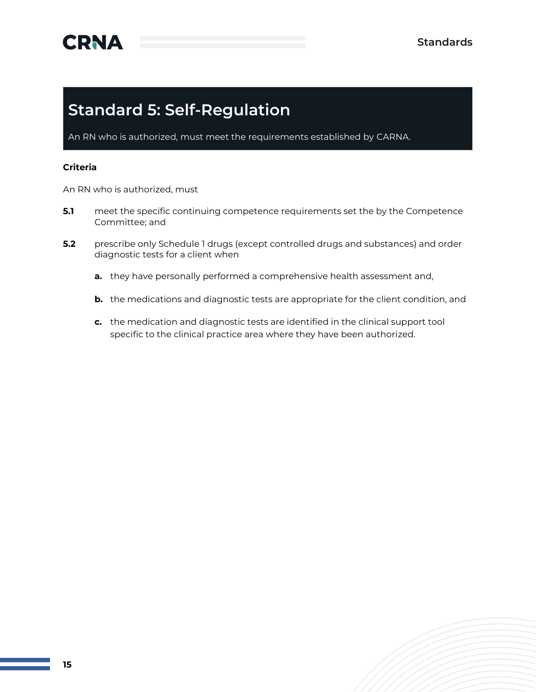## **Standard 5: Self-Regulation**

An RN who is authorized, must meet the requirements established by CARNA.

#### **Criteria**

- **5.1** meet the specific continuing competence requirements set the by the Competence Committee; and
- **5.2** prescribe only Schedule 1 drugs (except controlled drugs and substances) and order diagnostic tests for a client when
	- **a.** they have personally performed a comprehensive health assessment and,
	- **b.** the medications and diagnostic tests are appropriate for the client condition, and
	- **c.** the medication and diagnostic tests are identified in the clinical support tool specific to the clinical practice area where they have been authorized.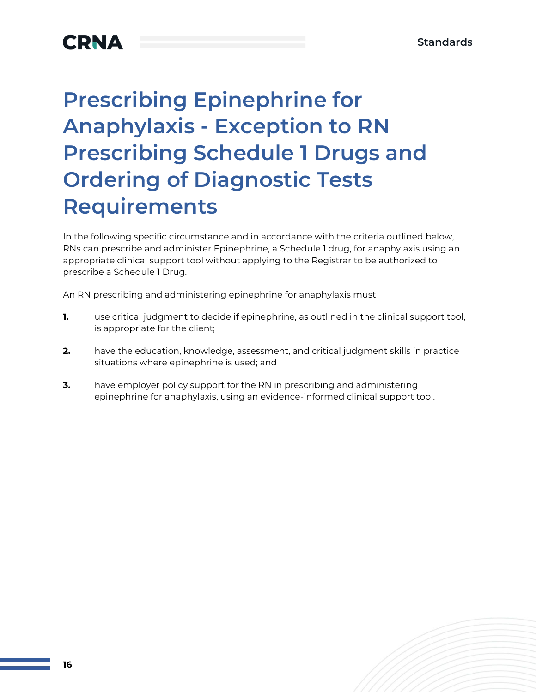## **CRNA**

# **Prescribing Epinephrine for Anaphylaxis - Exception to RN Prescribing Schedule 1 Drugs and Ordering of Diagnostic Tests Requirements**

In the following specific circumstance and in accordance with the criteria outlined below, RNs can prescribe and administer Epinephrine, a Schedule 1 drug, for anaphylaxis using an appropriate clinical support tool without applying to the Registrar to be authorized to prescribe a Schedule 1 Drug.

An RN prescribing and administering epinephrine for anaphylaxis must

- **1.** use critical judgment to decide if epinephrine, as outlined in the clinical support tool, is appropriate for the client;
- **2.** have the education, knowledge, assessment, and critical judgment skills in practice situations where epinephrine is used; and
- **3.** have employer policy support for the RN in prescribing and administering epinephrine for anaphylaxis, using an evidence-informed clinical support tool.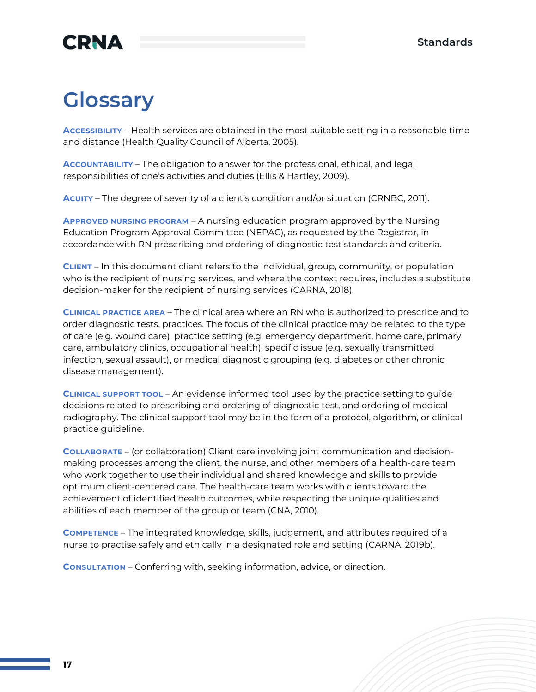## **CRNA**

## **Glossary**

**ACCESSIBILITY** – Health services are obtained in the most suitable setting in a reasonable time and distance (Health Quality Council of Alberta, 2005).

**ACCOUNTABILITY** – The obligation to answer for the professional, ethical, and legal responsibilities of one's activities and duties (Ellis & Hartley, 2009).

**ACUITY** – The degree of severity of a client's condition and/or situation (CRNBC, 2011).

**APPROVED NURSING PROGRAM** – A nursing education program approved by the Nursing Education Program Approval Committee (NEPAC), as requested by the Registrar, in accordance with RN prescribing and ordering of diagnostic test standards and criteria.

**CLIENT** – In this document client refers to the individual, group, community, or population who is the recipient of nursing services, and where the context requires, includes a substitute decision-maker for the recipient of nursing services (CARNA, 2018).

**CLINICAL PRACTICE AREA** – The clinical area where an RN who is authorized to prescribe and to order diagnostic tests, practices. The focus of the clinical practice may be related to the type of care (e.g. wound care), practice setting (e.g. emergency department, home care, primary care, ambulatory clinics, occupational health), specific issue (e.g. sexually transmitted infection, sexual assault), or medical diagnostic grouping (e.g. diabetes or other chronic disease management).

**CLINICAL SUPPORT TOOL** – An evidence informed tool used by the practice setting to guide decisions related to prescribing and ordering of diagnostic test, and ordering of medical radiography. The clinical support tool may be in the form of a protocol, algorithm, or clinical practice guideline.

**COLLABORATE** – (or collaboration) Client care involving joint communication and decisionmaking processes among the client, the nurse, and other members of a health-care team who work together to use their individual and shared knowledge and skills to provide optimum client-centered care. The health-care team works with clients toward the achievement of identified health outcomes, while respecting the unique qualities and abilities of each member of the group or team (CNA, 2010).

**COMPETENCE** – The integrated knowledge, skills, judgement, and attributes required of a nurse to practise safely and ethically in a designated role and setting (CARNA, 2019b).

**CONSULTATION** – Conferring with, seeking information, advice, or direction.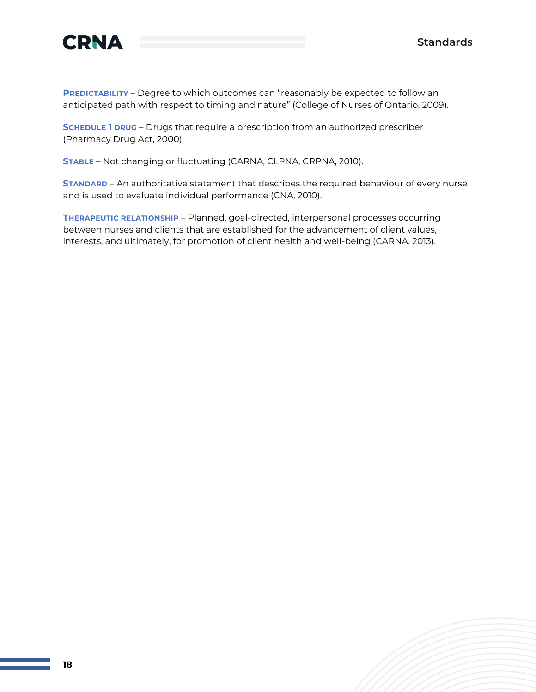

**PREDICTABILITY** – Degree to which outcomes can "reasonably be expected to follow an anticipated path with respect to timing and nature" (College of Nurses of Ontario, 2009).

**SCHEDULE 1 DRUG** – Drugs that require a prescription from an authorized prescriber (Pharmacy Drug Act, 2000).

**STABLE** – Not changing or fluctuating (CARNA, CLPNA, CRPNA, 2010).

**STANDARD** – An authoritative statement that describes the required behaviour of every nurse and is used to evaluate individual performance (CNA, 2010).

**THERAPEUTIC RELATIONSHIP** – Planned, goal-directed, interpersonal processes occurring between nurses and clients that are established for the advancement of client values, interests, and ultimately, for promotion of client health and well-being (CARNA, 2013).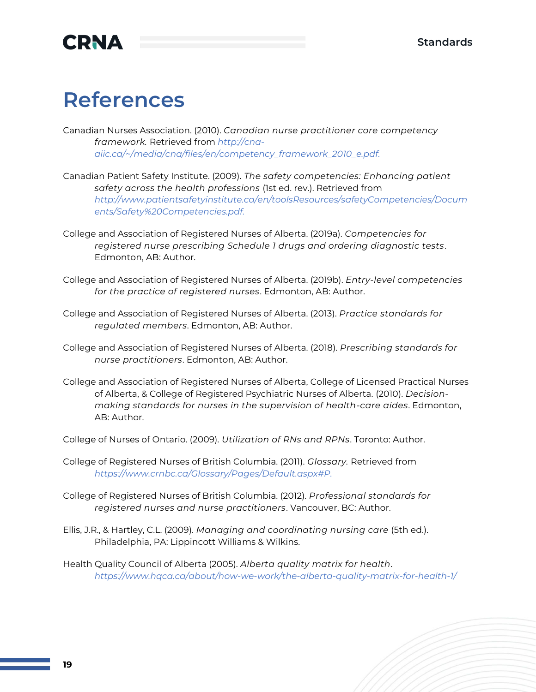

## **References**

Canadian Nurses Association. (2010). *Canadian nurse practitioner core competency framework.* Retrieved from *[http://cna](http://cna-aiic.ca/~/media/cna/files/en/competency_framework_2010_e.pdf)[aiic.ca/~/media/cna/files/en/competency\\_framework\\_2010\\_e.pdf.](http://cna-aiic.ca/~/media/cna/files/en/competency_framework_2010_e.pdf)*

- Canadian Patient Safety Institute. (2009). *The safety competencies: Enhancing patient safety across the health professions* (1st ed. rev.). Retrieved from *[http://www.patientsafetyinstitute.ca/en/toolsResources/safetyCompetencies/Docum](http://www.patientsafetyinstitute.ca/en/toolsResources/safetyCompetencies/Documents/Safety%20Competencies.pdf) [ents/Safety%20Competencies.pdf.](http://www.patientsafetyinstitute.ca/en/toolsResources/safetyCompetencies/Documents/Safety%20Competencies.pdf)*
- College and Association of Registered Nurses of Alberta. (2019a). *Competencies for registered nurse prescribing Schedule 1 drugs and ordering diagnostic tests*. Edmonton, AB: Author.
- College and Association of Registered Nurses of Alberta. (2019b). *Entry-level competencies for the practice of registered nurses*. Edmonton, AB: Author.
- College and Association of Registered Nurses of Alberta. (2013). *Practice standards for regulated members*. Edmonton, AB: Author.
- College and Association of Registered Nurses of Alberta. (2018). *Prescribing standards for nurse practitioners*. Edmonton, AB: Author.
- College and Association of Registered Nurses of Alberta, College of Licensed Practical Nurses of Alberta, & College of Registered Psychiatric Nurses of Alberta. (2010). *Decisionmaking standards for nurses in the supervision of health-care aides*. Edmonton, AB: Author.
- College of Nurses of Ontario. (2009). *Utilization of RNs and RPNs*. Toronto: Author.
- College of Registered Nurses of British Columbia. (2011). *Glossary.* Retrieved from *[https://www.crnbc.ca/Glossary/Pages/Default.aspx#P.](https://www.crnbc.ca/Glossary/Pages/Default.aspx#P)*
- College of Registered Nurses of British Columbia. (2012). *Professional standards for registered nurses and nurse practitioners*. Vancouver, BC: Author.
- Ellis, J.R., & Hartley, C.L. (2009). *Managing and coordinating nursing care* (5th ed.). Philadelphia, PA: Lippincott Williams & Wilkins.
- Health Quality Council of Alberta (2005). *Alberta quality matrix for health*. *<https://www.hqca.ca/about/how-we-work/the-alberta-quality-matrix-for-health-1/>*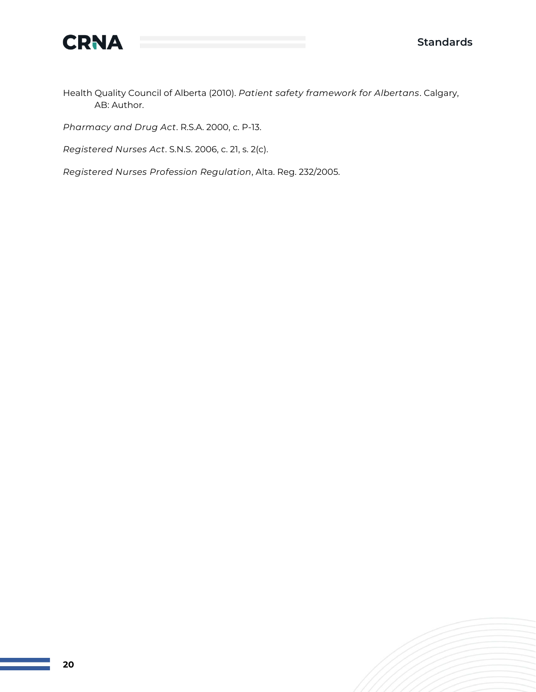

Health Quality Council of Alberta (2010). *Patient safety framework for Albertans*. Calgary, AB: Author.

*Pharmacy and Drug Act*. R.S.A. 2000, c. P-13.

*Registered Nurses Act*. S.N.S. 2006, c. 21, s. 2(c).

*Registered Nurses Profession Regulation*, Alta. Reg. 232/2005.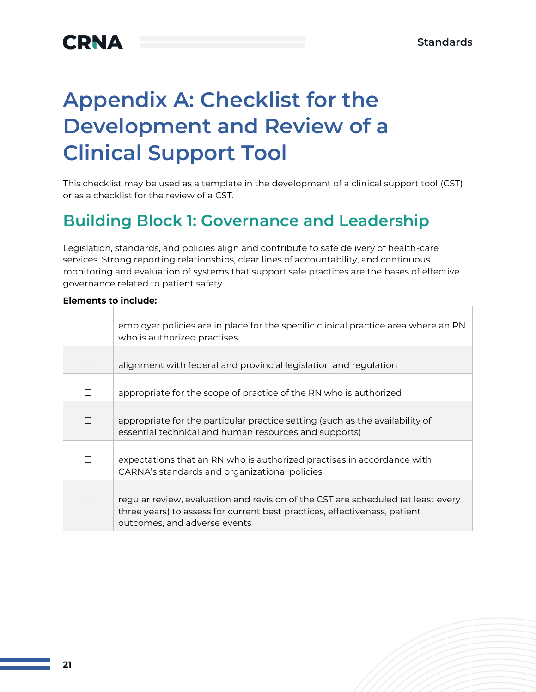# **Appendix A: Checklist for the Development and Review of a Clinical Support Tool**

This checklist may be used as a template in the development of a clinical support tool (CST) or as a checklist for the review of a CST.

### **Building Block 1: Governance and Leadership**

Legislation, standards, and policies align and contribute to safe delivery of health-care services. Strong reporting relationships, clear lines of accountability, and continuous monitoring and evaluation of systems that support safe practices are the bases of effective governance related to patient safety.

| П | employer policies are in place for the specific clinical practice area where an RN<br>who is authorized practises                                                                             |
|---|-----------------------------------------------------------------------------------------------------------------------------------------------------------------------------------------------|
| П | alignment with federal and provincial legislation and regulation                                                                                                                              |
| П | appropriate for the scope of practice of the RN who is authorized                                                                                                                             |
| П | appropriate for the particular practice setting (such as the availability of<br>essential technical and human resources and supports)                                                         |
| П | expectations that an RN who is authorized practises in accordance with<br>CARNA's standards and organizational policies                                                                       |
| П | regular review, evaluation and revision of the CST are scheduled (at least every<br>three years) to assess for current best practices, effectiveness, patient<br>outcomes, and adverse events |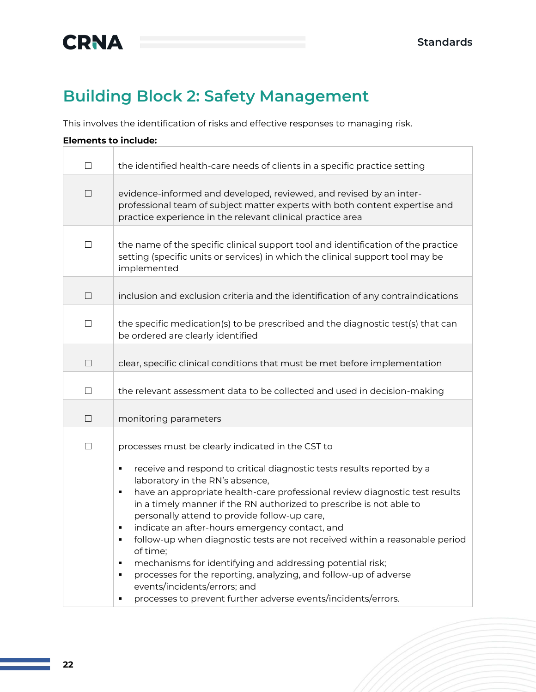

## **Building Block 2: Safety Management**

This involves the identification of risks and effective responses to managing risk.

| П      | the identified health-care needs of clients in a specific practice setting                                                                                                                                                                                                                                                                                                                                                                                                                                                                                                                                                                                                                                                                      |
|--------|-------------------------------------------------------------------------------------------------------------------------------------------------------------------------------------------------------------------------------------------------------------------------------------------------------------------------------------------------------------------------------------------------------------------------------------------------------------------------------------------------------------------------------------------------------------------------------------------------------------------------------------------------------------------------------------------------------------------------------------------------|
| $\Box$ | evidence-informed and developed, reviewed, and revised by an inter-<br>professional team of subject matter experts with both content expertise and<br>practice experience in the relevant clinical practice area                                                                                                                                                                                                                                                                                                                                                                                                                                                                                                                                |
| $\Box$ | the name of the specific clinical support tool and identification of the practice<br>setting (specific units or services) in which the clinical support tool may be<br>implemented                                                                                                                                                                                                                                                                                                                                                                                                                                                                                                                                                              |
| П      | inclusion and exclusion criteria and the identification of any contraindications                                                                                                                                                                                                                                                                                                                                                                                                                                                                                                                                                                                                                                                                |
| $\Box$ | the specific medication(s) to be prescribed and the diagnostic test(s) that can<br>be ordered are clearly identified                                                                                                                                                                                                                                                                                                                                                                                                                                                                                                                                                                                                                            |
| $\Box$ | clear, specific clinical conditions that must be met before implementation                                                                                                                                                                                                                                                                                                                                                                                                                                                                                                                                                                                                                                                                      |
| П      | the relevant assessment data to be collected and used in decision-making                                                                                                                                                                                                                                                                                                                                                                                                                                                                                                                                                                                                                                                                        |
| $\Box$ | monitoring parameters                                                                                                                                                                                                                                                                                                                                                                                                                                                                                                                                                                                                                                                                                                                           |
| $\Box$ | processes must be clearly indicated in the CST to                                                                                                                                                                                                                                                                                                                                                                                                                                                                                                                                                                                                                                                                                               |
|        | receive and respond to critical diagnostic tests results reported by a<br>٠<br>laboratory in the RN's absence,<br>have an appropriate health-care professional review diagnostic test results<br>×,<br>in a timely manner if the RN authorized to prescribe is not able to<br>personally attend to provide follow-up care,<br>indicate an after-hours emergency contact, and<br>٠<br>follow-up when diagnostic tests are not received within a reasonable period<br>٠<br>of time;<br>mechanisms for identifying and addressing potential risk;<br>٠<br>processes for the reporting, analyzing, and follow-up of adverse<br>$\blacksquare$<br>events/incidents/errors; and<br>processes to prevent further adverse events/incidents/errors.<br>Ξ |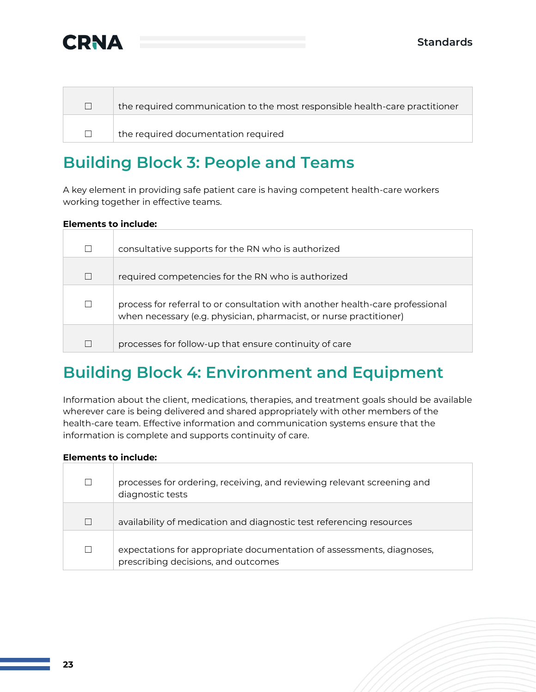

| the required communication to the most responsible health-care practitioner |
|-----------------------------------------------------------------------------|
| $\pm$ the required documentation required                                   |

### **Building Block 3: People and Teams**

A key element in providing safe patient care is having competent health-care workers working together in effective teams.

#### **Elements to include:**

|   | consultative supports for the RN who is authorized                                                                                                  |
|---|-----------------------------------------------------------------------------------------------------------------------------------------------------|
| Г | required competencies for the RN who is authorized                                                                                                  |
|   | process for referral to or consultation with another health-care professional<br>when necessary (e.g. physician, pharmacist, or nurse practitioner) |
|   | processes for follow-up that ensure continuity of care                                                                                              |

### **Building Block 4: Environment and Equipment**

Information about the client, medications, therapies, and treatment goals should be available wherever care is being delivered and shared appropriately with other members of the health-care team. Effective information and communication systems ensure that the information is complete and supports continuity of care.

| $\Box$ | processes for ordering, receiving, and reviewing relevant screening and<br>diagnostic tests                  |
|--------|--------------------------------------------------------------------------------------------------------------|
| $\Box$ | availability of medication and diagnostic test referencing resources                                         |
| П      | expectations for appropriate documentation of assessments, diagnoses,<br>prescribing decisions, and outcomes |